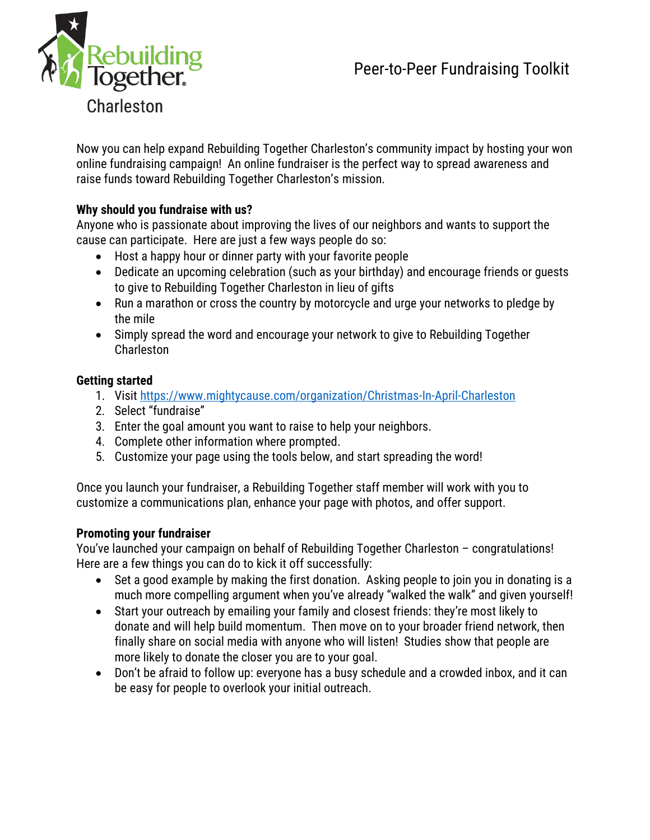

Now you can help expand Rebuilding Together Charleston's community impact by hosting your won online fundraising campaign! An online fundraiser is the perfect way to spread awareness and raise funds toward Rebuilding Together Charleston's mission.

## **Why should you fundraise with us?**

Anyone who is passionate about improving the lives of our neighbors and wants to support the cause can participate. Here are just a few ways people do so:

- Host a happy hour or dinner party with your favorite people
- Dedicate an upcoming celebration (such as your birthday) and encourage friends or guests to give to Rebuilding Together Charleston in lieu of gifts
- Run a marathon or cross the country by motorcycle and urge your networks to pledge by the mile
- Simply spread the word and encourage your network to give to Rebuilding Together Charleston

## **Getting started**

- 1. Visit<https://www.mightycause.com/organization/Christmas-In-April-Charleston>
- 2. Select "fundraise"
- 3. Enter the goal amount you want to raise to help your neighbors.
- 4. Complete other information where prompted.
- 5. Customize your page using the tools below, and start spreading the word!

Once you launch your fundraiser, a Rebuilding Together staff member will work with you to customize a communications plan, enhance your page with photos, and offer support.

#### **Promoting your fundraiser**

You've launched your campaign on behalf of Rebuilding Together Charleston – congratulations! Here are a few things you can do to kick it off successfully:

- Set a good example by making the first donation. Asking people to join you in donating is a much more compelling argument when you've already "walked the walk" and given yourself!
- Start your outreach by emailing your family and closest friends: they're most likely to donate and will help build momentum. Then move on to your broader friend network, then finally share on social media with anyone who will listen! Studies show that people are more likely to donate the closer you are to your goal.
- Don't be afraid to follow up: everyone has a busy schedule and a crowded inbox, and it can be easy for people to overlook your initial outreach.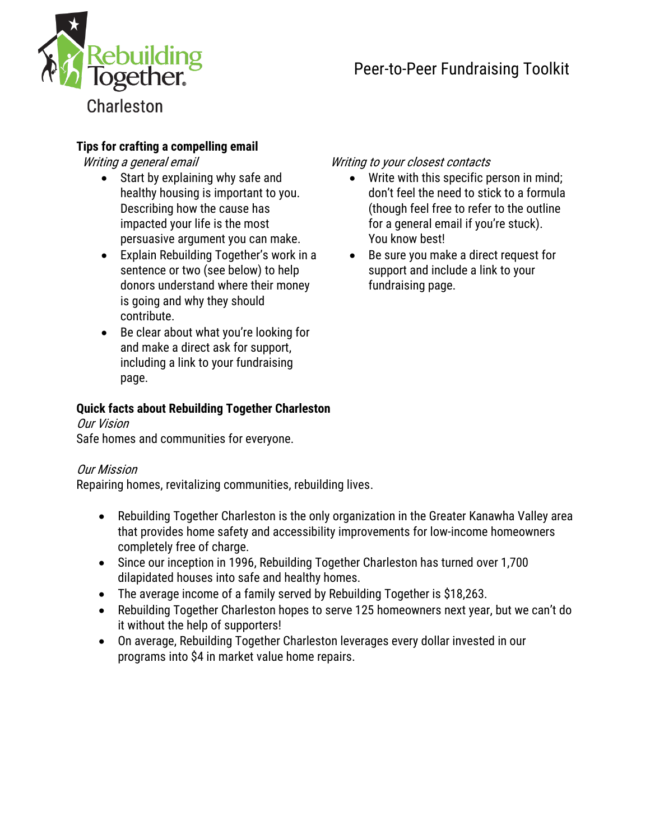

# **Tips for crafting a compelling email**

- Start by explaining why safe and healthy housing is important to you. Describing how the cause has impacted your life is the most persuasive argument you can make.
- Explain Rebuilding Together's work in a sentence or two (see below) to help donors understand where their money is going and why they should contribute.
- Be clear about what you're looking for and make a direct ask for support, including a link to your fundraising page.

## **Quick facts about Rebuilding Together Charleston**

#### Our Vision Safe homes and communities for everyone.

## Our Mission

Repairing homes, revitalizing communities, rebuilding lives.

- Rebuilding Together Charleston is the only organization in the Greater Kanawha Valley area that provides home safety and accessibility improvements for low-income homeowners completely free of charge.
- Since our inception in 1996, Rebuilding Together Charleston has turned over 1,700 dilapidated houses into safe and healthy homes.
- The average income of a family served by Rebuilding Together is \$18,263.
- Rebuilding Together Charleston hopes to serve 125 homeowners next year, but we can't do it without the help of supporters!
- On average, Rebuilding Together Charleston leverages every dollar invested in our programs into \$4 in market value home repairs.

## Writing a general email Writing to your closest contacts

- Write with this specific person in mind; don't feel the need to stick to a formula (though feel free to refer to the outline for a general email if you're stuck). You know best!
- Be sure you make a direct request for support and include a link to your fundraising page.